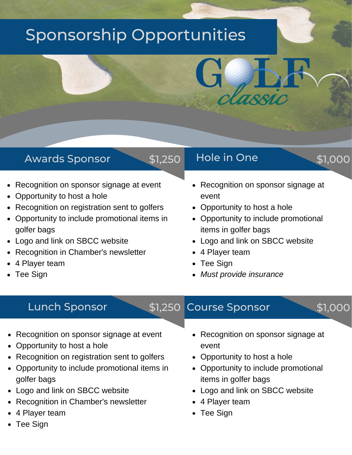## Sponsorship Opportunities

#### Awards Sponsor

- Recognition on sponsor signage at event  $\bullet$
- Opportunity to host a hole
- Recognition on registration sent to golfers
- Opportunity to include promotional items in golfer bags
- Logo and link on SBCC website
- Recognition in Chamber's newsletter
- 4 Player team
- Tee Sign

#### \$1,250 Hole in One \$1,000

- 
- Recognition on sponsor signage at event
- Opportunity to host a hole
- Opportunity to include promotional items in golfer bags
- Logo and link on SBCC website
- 4 Player team
- Tee Sign
- *Must provide insurance*

#### Lunch Sponsor \$1,250

### Course Sponsor \$1,000

- Recognition on sponsor signage at event
- Opportunity to host a hole
- Recognition on registration sent to golfers
- Opportunity to include promotional items in golfer bags
- Logo and link on SBCC website
- Recognition in Chamber's newsletter
- 4 Player team
- Tee Sign
- Recognition on sponsor signage at event
- Opportunity to host a hole
- Opportunity to include promotional items in golfer bags
- Logo and link on SBCC website
- 4 Player team
- Tee Sign